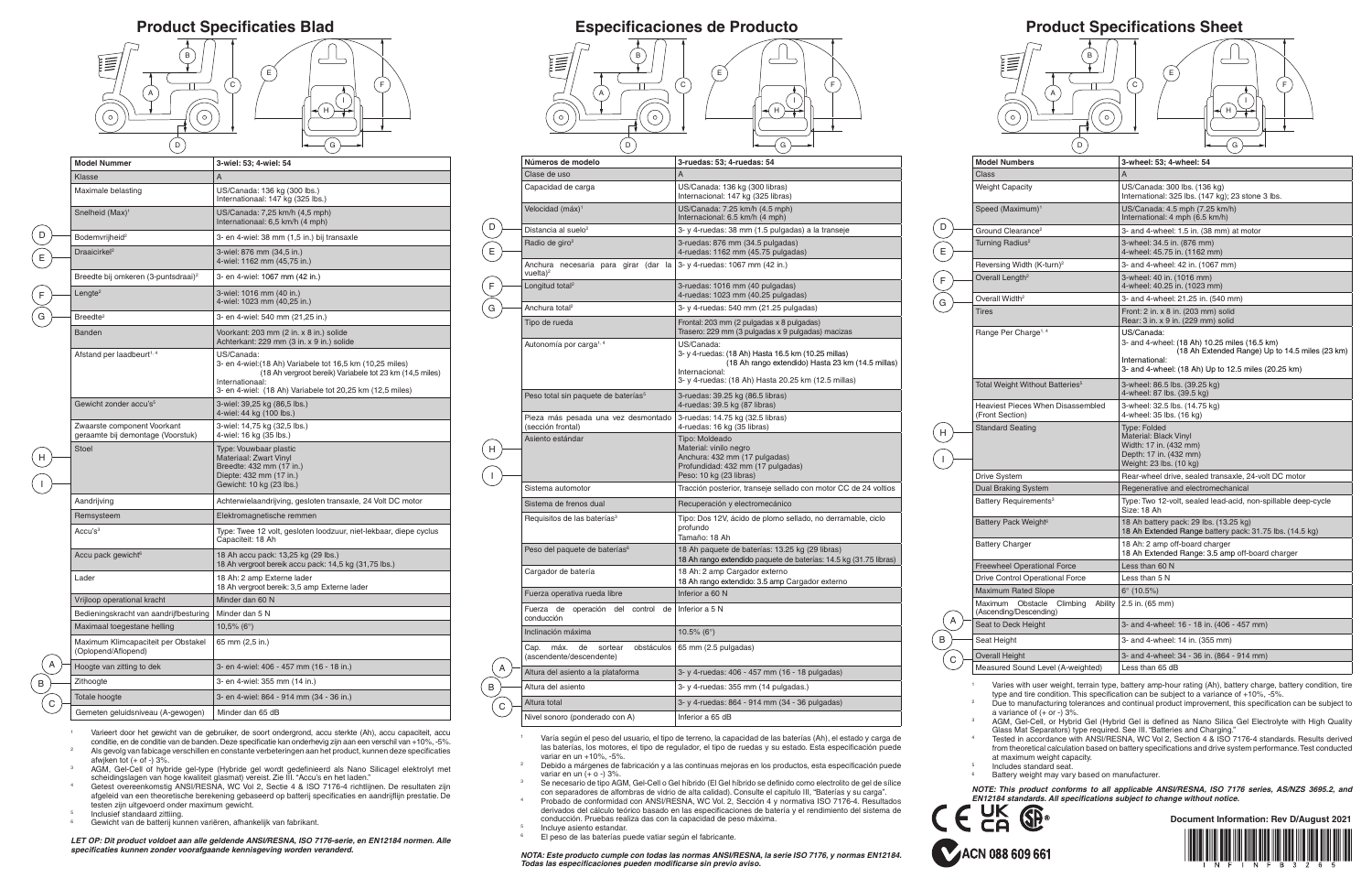<sup>1</sup> Varies with user weight, terrain type, battery amp-hour rating (Ah), battery charge, battery condition, tire type and tire condition. This specification can be subject to a variance of +10%, -5%.

<sup>2</sup> Due to manufacturing tolerances and continual product improvement, this specification can be subject to a variance of  $(+$  or  $-$ ) 3%.

AGM, Gel-Cell, or Hybrid Gel (Hybrid Gel is defined as Nano Silica Gel Electrolyte with High Quality Glass Mat Separators) type required. See III. "Batteries and Charging."

Tested in accordance with ANSI/RESNA, WC Vol 2, Section 4 & ISO 7176-4 standards. Results derived from theoretical calculation based on battery specifications and drive system performance. Test conducted at maximum weight capacity.

Includes standard seat.

Battery weight may vary based on manufacturer.

*NOTE: This product conforms to all applicable ANSI/RESNA, ISO 7176 series, AS/NZS 3695.2, and*  **EN12184 standards. All specifications subject to change without notice.**<br> **ENLY CONS**<br>
Document Inform



## **Product Specifications Sheet**

**Document Information: Rev D/August 2021**



ACN 088 609 661

- <sup>1</sup> Varía según el peso del usuario, el tipo de terreno, la capacidad de las baterías (Ah), el estado y carga de las baterías, los motores, el tipo de regulador, el tipo de ruedas y su estado. Esta especificación puede variar en un +10%, -5%.
- <sup>2</sup> Debido a márgenes de fabricación y a las continuas mejoras en los productos, esta especificación puede variar en un (+ o -) 3%.
- Se necesario de tipo AGM, Gel-Cell o Gel híbrido (El Gel híbrido se definido como electrolito de gel de sílice con separadores de alfombras de vidrio de alta calidad). Consulte el capitulo III, "Baterías y su carga".
- <sup>4</sup> Probado de conformidad con ANSI/RESNA, WC Vol. 2, Sección 4 y normativa ISO 7176-4. Resultados derivados del cálculo teórico basado en las especificaciones de batería y el rendimiento del sistema de conducción. Pruebas realiza das con la capacidad de peso máxima.
- Incluye asiento estandar.

| <b>Model Numbers</b>                                              | 3-wheel: 53; 4-wheel: 54                                                                                                                                                                |
|-------------------------------------------------------------------|-----------------------------------------------------------------------------------------------------------------------------------------------------------------------------------------|
| Class                                                             | A                                                                                                                                                                                       |
| <b>Weight Capacity</b>                                            | US/Canada: 300 lbs. (136 kg)<br>International: 325 lbs. (147 kg); 23 stone 3 lbs.                                                                                                       |
| Speed (Maximum) <sup>1</sup>                                      | US/Canada: 4.5 mph (7.25 km/h)<br>International: 4 mph (6.5 km/h)                                                                                                                       |
| Ground Clearance <sup>2</sup>                                     | 3- and 4-wheel: 1.5 in. (38 mm) at motor                                                                                                                                                |
| Turning Radius <sup>2</sup>                                       | 3-wheel: 34.5 in. (876 mm)<br>4-wheel: 45.75 in. (1162 mm)                                                                                                                              |
| Reversing Width (K-turn) <sup>2</sup>                             | 3- and 4-wheel: 42 in. (1067 mm)                                                                                                                                                        |
| Overall Length <sup>2</sup>                                       | 3-wheel: 40 in. (1016 mm)<br>4-wheel: 40.25 in. (1023 mm)                                                                                                                               |
| Overall Width <sup>2</sup>                                        | 3- and 4-wheel: 21.25 in. (540 mm)                                                                                                                                                      |
| <b>Tires</b>                                                      | Front: 2 in. x 8 in. (203 mm) solid<br>Rear: 3 in. x 9 in. (229 mm) solid                                                                                                               |
| Range Per Charge <sup>1, 4</sup>                                  | US/Canada:<br>3- and 4-wheel: (18 Ah) 10.25 miles (16.5 km)<br>(18 Ah Extended Range) Up to 14.5 miles (23 km)<br>International:<br>3- and 4-wheel: (18 Ah) Up to 12.5 miles (20.25 km) |
| Total Weight Without Batteries <sup>5</sup>                       | 3-wheel: 86.5 lbs. (39.25 kg)<br>4-wheel: 87 lbs. (39.5 kg)                                                                                                                             |
| Heaviest Pieces When Disassembled<br>(Front Section)              | 3-wheel: 32.5 lbs. (14.75 kg)<br>4-wheel: 35 lbs. (16 kg)                                                                                                                               |
| <b>Standard Seating</b>                                           | <b>Type: Folded</b><br>Material: Black Vinyl<br>Width: 17 in. (432 mm)<br>Depth: 17 in. (432 mm)<br>Weight: 23 lbs. (10 kg)                                                             |
| <b>Drive System</b>                                               | Rear-wheel drive, sealed transaxle, 24-volt DC motor                                                                                                                                    |
| <b>Dual Braking System</b>                                        | Regenerative and electromechanical                                                                                                                                                      |
| Battery Requirements <sup>3</sup>                                 | Type: Two 12-volt, sealed lead-acid, non-spillable deep-cycle<br>Size: 18 Ah                                                                                                            |
| Battery Pack Weight <sup>6</sup>                                  | 18 Ah battery pack: 29 lbs. (13.25 kg)<br>18 Ah Extended Range battery pack: 31.75 lbs. (14.5 kg)                                                                                       |
| <b>Battery Charger</b>                                            | 18 Ah: 2 amp off-board charger<br>18 Ah Extended Range: 3.5 amp off-board charger                                                                                                       |
| <b>Freewheel Operational Force</b>                                | Less than 60 N                                                                                                                                                                          |
| <b>Drive Control Operational Force</b>                            | Less than 5 N                                                                                                                                                                           |
| <b>Maximum Rated Slope</b>                                        | $6^{\circ}$ (10.5%)                                                                                                                                                                     |
| Climbing<br>Ability<br>Maximum Obstacle<br>(Ascending/Descending) | 2.5 in. (65 mm)                                                                                                                                                                         |
| Seat to Deck Height                                               | 3- and 4-wheel: 16 - 18 in. (406 - 457 mm)                                                                                                                                              |
| Seat Height                                                       | 3- and 4-wheel: 14 in. (355 mm)                                                                                                                                                         |
| <b>Overall Height</b>                                             | 3- and 4-wheel: 34 - 36 in. (864 - 914 mm)                                                                                                                                              |
| Measured Sound Level (A-weighted)                                 | Less than 65 dB                                                                                                                                                                         |

A

 $\left( c \right)$ 

A B  $\left($  c  $\right)$ 

> *NOTA: Este producto cumple con todas las normas ANSI/RESNA, la serie ISO 7176, y normas EN12184. Todas las especificaciones pueden modificarse sin previo aviso.*

| Números de modelo                                                       | 3-ruedas: 53; 4-ruedas: 54                                                                                                                                                                      |
|-------------------------------------------------------------------------|-------------------------------------------------------------------------------------------------------------------------------------------------------------------------------------------------|
| Clase de uso                                                            | $\overline{A}$                                                                                                                                                                                  |
| Capacidad de carga                                                      | US/Canada: 136 kg (300 libras)<br>Internacional: 147 kg (325 libras)                                                                                                                            |
| Velocidad (máx) <sup>1</sup>                                            | US/Canada: 7.25 km/h (4.5 mph)<br>Internacional: 6.5 km/h (4 mph)                                                                                                                               |
| Distancia al suelo <sup>2</sup>                                         | 3- y 4-ruedas: 38 mm (1.5 pulgadas) a la transeje                                                                                                                                               |
| Radio de giro <sup>2</sup>                                              | 3-ruedas: 876 mm (34.5 pulgadas)<br>4-ruedas: 1162 mm (45.75 pulgadas)                                                                                                                          |
| Anchura necesaria para girar (dar la<br>vuelta) <sup>2</sup>            | 3- y 4-ruedas: 1067 mm (42 in.)                                                                                                                                                                 |
| Longitud total <sup>2</sup>                                             | 3-ruedas: 1016 mm (40 pulgadas)<br>4-ruedas: 1023 mm (40.25 pulgadas)                                                                                                                           |
| Anchura total <sup>2</sup>                                              | 3- y 4-ruedas: 540 mm (21.25 pulgadas)                                                                                                                                                          |
| Tipo de rueda                                                           | Frontal: 203 mm (2 pulgadas x 8 pulgadas)<br>Trasero: 229 mm (3 pulgadas x 9 pulgadas) macizas                                                                                                  |
| Autonomía por carga <sup>1, 4</sup>                                     | US/Canada:<br>3- y 4-ruedas: (18 Ah) Hasta 16.5 km (10.25 millas)<br>(18 Ah rango extendido) Hasta 23 km (14.5 millas)<br>Internacional:<br>3- y 4-ruedas: (18 Ah) Hasta 20.25 km (12.5 millas) |
| Peso total sin paquete de baterías <sup>5</sup>                         | 3-ruedas: 39.25 kg (86.5 libras)<br>4-ruedas: 39.5 kg (87 libras)                                                                                                                               |
| Pieza más pesada una vez desmontado<br>(sección frontal)                | 3-ruedas: 14.75 kg (32.5 libras)<br>4-ruedas: 16 kg (35 libras)                                                                                                                                 |
| Asiento estándar                                                        | Tipo: Moldeado<br>Material: vinilo negro<br>Anchura: 432 mm (17 pulgadas)<br>Profundidad: 432 mm (17 pulgadas)<br>Peso: 10 kg (23 libras)                                                       |
| Sistema automotor                                                       | Tracción posterior, transeje sellado con motor CC de 24 voltios                                                                                                                                 |
| Sistema de frenos dual                                                  | Recuperación y electromecánico                                                                                                                                                                  |
| Requisitos de las baterías <sup>3</sup>                                 | Tipo: Dos 12V, ácido de plomo sellado, no derramable, ciclo<br>profundo<br>Tamaño: 18 Ah                                                                                                        |
| Peso del paquete de baterías <sup>6</sup>                               | 18 Ah paquete de baterías: 13.25 kg (29 libras)<br>18 Ah rango extendido paquete de baterías: 14.5 kg (31.75 libras)                                                                            |
| Cargador de batería                                                     | 18 Ah: 2 amp Cargador externo<br>18 Ah rango extendido: 3.5 amp Cargador externo                                                                                                                |
| Fuerza operativa rueda libre                                            | Inferior a 60 N                                                                                                                                                                                 |
| Fuerza de operación del<br>control de<br>conducción                     | Inferior a 5 N                                                                                                                                                                                  |
| Inclinación máxima                                                      | $10.5\%$ (6°)                                                                                                                                                                                   |
| máx.<br>de<br>sortear<br>obstáculos<br>Cap.<br>(ascendente/descendente) | 65 mm (2.5 pulgadas)                                                                                                                                                                            |
| Altura del asiento a la plataforma                                      | 3- y 4-ruedas: 406 - 457 mm (16 - 18 pulgadas)                                                                                                                                                  |
| Altura del asiento                                                      | 3- y 4-ruedas: 355 mm (14 pulgadas.)                                                                                                                                                            |
| Altura total                                                            | 3- y 4-ruedas: 864 - 914 mm (34 - 36 pulgadas)                                                                                                                                                  |
| Nivel sonoro (ponderado con A)                                          | Inferior a 65 dB                                                                                                                                                                                |



D

E

F G

H

I

El peso de las baterías puede vatiar según el fabricante.

## B i≣  $E$ E  $\mathbb{I}$  $\left($  c  $\right)$  $\overline{ }$ F C C A A I  $\overline{\phantom{a}}$ H  $\sqrt{\circ}$  $\bigodot$  $\sqrt{D}$ G



 $\mathbf{L}$ 



- <sup>1</sup> Varieert door het gewicht van de gebruiker, de soort ondergrond, accu sterkte (Ah), accu capaciteit, accu conditie, en de conditie van de banden. Deze specificatie kan onderhevig zijn aan een verschil van +10%, -5%.
- <sup>2</sup> Als gevolg van fabicage verschillen en constante verbeteringen aan het product, kunnen deze specificaties afwjken tot (+ of -) 3%.
- <sup>3</sup> AGM, Gel-Cell of hybride gel-type (Hybride gel wordt gedefinieerd als Nano Silicagel elektrolyt met scheidingslagen van hoge kwaliteit glasmat) vereist. Zie III. "Accu's en het laden."
- <sup>4</sup> Getest overeenkomstig ANSI/RESNA, WC Vol 2, Sectie 4 & ISO 7176-4 richtlijnen. De resultaten zijn afgeleid van een theoretische berekening gebaseerd op batterij specificaties en aandrijflijn prestatie. De testen zijn uitgevoerd onder maximum gewicht.
- <sup>5</sup> Inclusief standaard zittiing.

 $\begin{pmatrix} B \\ C \end{pmatrix}$ 

<sup>6</sup> Gewicht van de batterij kunnen variëren, afhankelijk van fabrikant.

*LET OP: Dit product voldoet aan alle geldende ANSI/RESNA, ISO 7176-serie, en EN12184 normen. Alle specificaties kunnen zonder voorafgaande kennisgeving worden veranderd.*

| <b>Model Nummer</b>                                              | 3-wiel: 53; 4-wiel: 54                                                                                                                                                                                              |
|------------------------------------------------------------------|---------------------------------------------------------------------------------------------------------------------------------------------------------------------------------------------------------------------|
| Klasse                                                           | A                                                                                                                                                                                                                   |
| Maximale belasting                                               | US/Canada: 136 kg (300 lbs.)<br>Internationaal: 147 kg (325 lbs.)                                                                                                                                                   |
| Snelheid (Max) <sup>1</sup>                                      | US/Canada: 7,25 km/h (4,5 mph)<br>Internationaal: 6,5 km/h (4 mph)                                                                                                                                                  |
| Bodemvrijheid <sup>2</sup>                                       | 3- en 4-wiel: 38 mm (1,5 in.) bij transaxle                                                                                                                                                                         |
| Draaicirkel <sup>2</sup>                                         | 3-wiel: 876 mm (34,5 in.)<br>4-wiel: 1162 mm (45,75 in.)                                                                                                                                                            |
| Breedte bij omkeren (3-puntsdraai) <sup>2</sup>                  | 3- en 4-wiel: 1067 mm (42 in.)                                                                                                                                                                                      |
| Lengte <sup>2</sup>                                              | 3-wiel: 1016 mm (40 in.)<br>4-wiel: 1023 mm (40,25 in.)                                                                                                                                                             |
| Breedte <sup>2</sup>                                             | 3- en 4-wiel: 540 mm (21,25 in.)                                                                                                                                                                                    |
| Banden                                                           | Voorkant: 203 mm (2 in. x 8 in.) solide<br>Achterkant: 229 mm (3 in. x 9 in.) solide                                                                                                                                |
| Afstand per laadbeurt <sup>1, 4</sup>                            | US/Canada:<br>3- en 4-wiel: (18 Ah) Variabele tot 16,5 km (10,25 miles)<br>(18 Ah vergroot bereik) Variabele tot 23 km (14,5 miles)<br>Internationaal:<br>3- en 4-wiel: (18 Ah) Variabele tot 20,25 km (12,5 miles) |
| Gewicht zonder accu's <sup>5</sup>                               | 3-wiel: 39,25 kg (86,5 lbs.)<br>4-wiel: 44 kg (100 lbs.)                                                                                                                                                            |
| Zwaarste component Voorkant<br>geraamte bij demontage (Voorstuk) | 3-wiel: 14,75 kg (32,5 lbs.)<br>4-wiel: 16 kg (35 lbs.)                                                                                                                                                             |
| Stoel                                                            | Type: Vouwbaar plastic<br>Materiaal: Zwart Vinyl<br>Breedte: 432 mm (17 in.)<br>Diepte: 432 mm (17 in.)<br>Gewicht: 10 kg (23 lbs.)                                                                                 |
| Aandrijving                                                      | Achterwielaandrijving, gesloten transaxle, 24 Volt DC motor                                                                                                                                                         |
| Remsysteem                                                       | Elektromagnetische remmen                                                                                                                                                                                           |
| Accu's <sup>3</sup>                                              | Type: Twee 12 volt, gesloten loodzuur, niet-lekbaar, diepe cyclus<br>Capaciteit: 18 Ah                                                                                                                              |
| Accu pack gewicht <sup>6</sup>                                   | 18 Ah accu pack: 13,25 kg (29 lbs.)<br>18 Ah vergroot bereik accu pack: 14,5 kg (31,75 lbs.)                                                                                                                        |
| Lader                                                            | 18 Ah: 2 amp Externe lader<br>18 Ah vergroot bereik: 3,5 amp Externe lader                                                                                                                                          |
| Vrijloop operational kracht                                      | Minder dan 60 N                                                                                                                                                                                                     |
| Bedieningskracht van aandrijfbesturing                           | Minder dan 5 N                                                                                                                                                                                                      |
| Maximaal toegestane helling                                      | $10,5\%$ (6°)                                                                                                                                                                                                       |
| Maximum Klimcapaciteit per Obstakel<br>(Oplopend/Aflopend)       | 65 mm (2,5 in.)                                                                                                                                                                                                     |
| Hoogte van zitting to dek                                        | 3- en 4-wiel: 406 - 457 mm (16 - 18 in.)                                                                                                                                                                            |
| Zithoogte                                                        | 3- en 4-wiel: 355 mm (14 in.)                                                                                                                                                                                       |
| Totale hoogte                                                    | 3- en 4-wiel: 864 - 914 mm (34 - 36 in.)                                                                                                                                                                            |
| Gemeten geluidsniveau (A-gewogen)                                | Minder dan 65 dB                                                                                                                                                                                                    |

D

E

F G

H

I